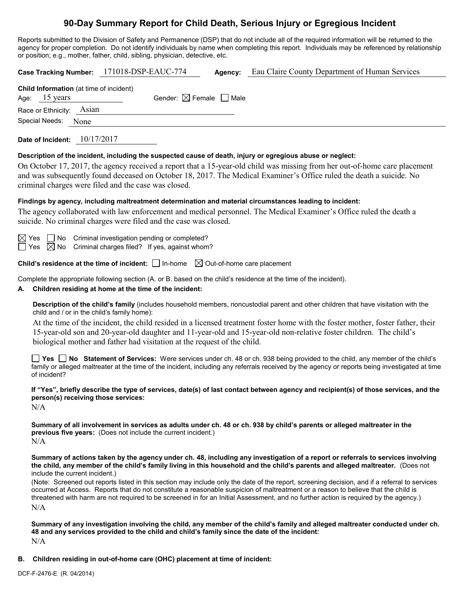# **90-Day Summary Report for Child Death, Serious Injury or Egregious Incident**

Reports submitted to the Division of Safety and Permanence (DSP) that do not include all of the required information will be returned to the agency for proper completion. Do not identify individuals by name when completing this report. Individuals may be referenced by relationship or position; e.g., mother, father, child, sibling, physician, detective, etc.

| Case Tracking Number: 171018-DSP-EAUC-774<br><b>Agency:</b> Eau Claire County Department of Human Services                                                                                                                                                                                                                                                                                                                                                                                                                                                                                                                                                                                                                                |  |  |  |  |
|-------------------------------------------------------------------------------------------------------------------------------------------------------------------------------------------------------------------------------------------------------------------------------------------------------------------------------------------------------------------------------------------------------------------------------------------------------------------------------------------------------------------------------------------------------------------------------------------------------------------------------------------------------------------------------------------------------------------------------------------|--|--|--|--|
| Child Information (at time of incident)<br>Age: 15 years<br>Gender: $\boxtimes$ Female $\Box$ Male<br>Race or Ethnicity: Asian<br>Special Needs:<br>None                                                                                                                                                                                                                                                                                                                                                                                                                                                                                                                                                                                  |  |  |  |  |
| Date of Incident: $10/17/2017$                                                                                                                                                                                                                                                                                                                                                                                                                                                                                                                                                                                                                                                                                                            |  |  |  |  |
| Description of the incident, including the suspected cause of death, injury or egregious abuse or neglect:<br>On October 17, 2017, the agency received a report that a 15-year-old child was missing from her out-of-home care placement<br>and was subsequently found deceased on October 18, 2017. The Medical Examiner's Office ruled the death a suicide. No<br>criminal charges were filed and the case was closed.                                                                                                                                                                                                                                                                                                                  |  |  |  |  |
| Findings by agency, including maltreatment determination and material circumstances leading to incident:<br>The agency collaborated with law enforcement and medical personnel. The Medical Examiner's Office ruled the death a<br>suicide. No criminal charges were filed and the case was closed.                                                                                                                                                                                                                                                                                                                                                                                                                                       |  |  |  |  |
| $\boxtimes$ Yes $\Box$ No Criminal investigation pending or completed?<br>$\Box$ Yes $\boxtimes$ No Criminal charges filed? If yes, against whom?                                                                                                                                                                                                                                                                                                                                                                                                                                                                                                                                                                                         |  |  |  |  |
| <b>Child's residence at the time of incident:</b> $\Box$ In-home $\Box$ Out-of-home care placement                                                                                                                                                                                                                                                                                                                                                                                                                                                                                                                                                                                                                                        |  |  |  |  |
| Complete the appropriate following section (A. or B. based on the child's residence at the time of the incident).<br>Children residing at home at the time of the incident:                                                                                                                                                                                                                                                                                                                                                                                                                                                                                                                                                               |  |  |  |  |
| Description of the child's family (includes household members, noncustodial parent and other children that have visitation with the<br>child and / or in the child's family home):<br>At the time of the incident, the child resided in a licensed treatment foster home with the foster mother, foster father, their<br>15-year-old son and 20-year-old daughter and 11-year-old and 15-year-old non-relative foster children. The child's<br>biological mother and father had visitation at the request of the child.                                                                                                                                                                                                                   |  |  |  |  |
| <b>The Statement of Services:</b> Were services under ch. 48 or ch. 938 being provided to the child, any member of the child's<br>family or alleged maltreater at the time of the incident, including any referrals received by the agency or reports being investigated at time<br>of incident?                                                                                                                                                                                                                                                                                                                                                                                                                                          |  |  |  |  |
| If "Yes", briefly describe the type of services, date(s) of last contact between agency and recipient(s) of those services, and the<br>person(s) receiving those services:<br>N/A                                                                                                                                                                                                                                                                                                                                                                                                                                                                                                                                                         |  |  |  |  |
| Summary of all involvement in services as adults under ch. 48 or ch. 938 by child's parents or alleged maltreater in the<br>previous five years: (Does not include the current incident.)<br>N/A                                                                                                                                                                                                                                                                                                                                                                                                                                                                                                                                          |  |  |  |  |
| Summary of actions taken by the agency under ch. 48, including any investigation of a report or referrals to services involving<br>the child, any member of the child's family living in this household and the child's parents and alleged maltreater. (Does not<br>include the current incident.)<br>(Note: Screened out reports listed in this section may include only the date of the report, screening decision, and if a referral to services<br>occurred at Access. Reports that do not constitute a reasonable suspicion of maltreatment or a reason to believe that the child is<br>threatened with harm are not required to be screened in for an Initial Assessment, and no further action is required by the agency.)<br>N/A |  |  |  |  |
| Summary of any investigation involving the child, any member of the child's family and alleged maltreater conducted under ch.<br>48 and any services provided to the child and child's family since the date of the incident:<br>N/A                                                                                                                                                                                                                                                                                                                                                                                                                                                                                                      |  |  |  |  |

**B. Children residing in out-of-home care (OHC) placement at time of incident:**